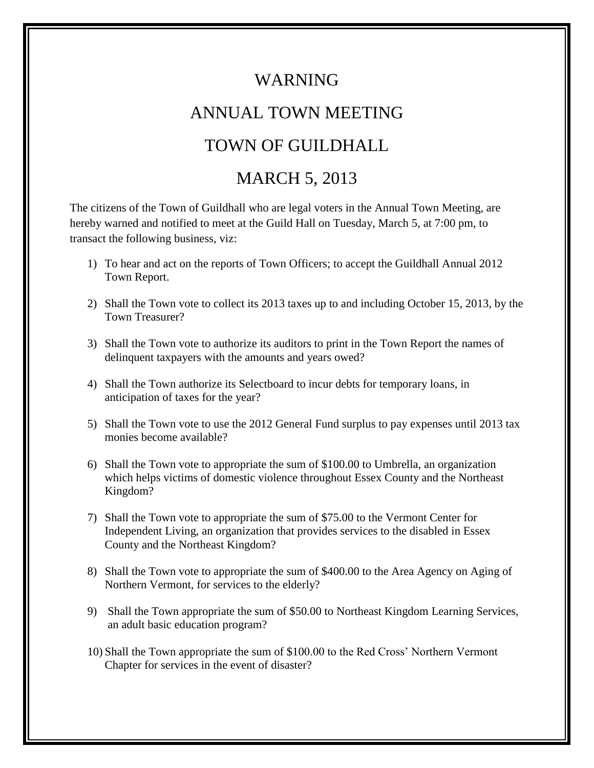## WARNING

## ANNUAL TOWN MEETING

## TOWN OF GUILDHALL

## MARCH 5, 2013

The citizens of the Town of Guildhall who are legal voters in the Annual Town Meeting, are hereby warned and notified to meet at the Guild Hall on Tuesday, March 5, at 7:00 pm, to transact the following business, viz:

- 1) To hear and act on the reports of Town Officers; to accept the Guildhall Annual 2012 Town Report.
- 2) Shall the Town vote to collect its 2013 taxes up to and including October 15, 2013, by the Town Treasurer?
- 3) Shall the Town vote to authorize its auditors to print in the Town Report the names of delinquent taxpayers with the amounts and years owed?
- 4) Shall the Town authorize its Selectboard to incur debts for temporary loans, in anticipation of taxes for the year?
- 5) Shall the Town vote to use the 2012 General Fund surplus to pay expenses until 2013 tax monies become available?
- 6) Shall the Town vote to appropriate the sum of \$100.00 to Umbrella, an organization which helps victims of domestic violence throughout Essex County and the Northeast Kingdom?
- 7) Shall the Town vote to appropriate the sum of \$75.00 to the Vermont Center for Independent Living, an organization that provides services to the disabled in Essex County and the Northeast Kingdom?
- 8) Shall the Town vote to appropriate the sum of \$400.00 to the Area Agency on Aging of Northern Vermont, for services to the elderly?
- 9) Shall the Town appropriate the sum of \$50.00 to Northeast Kingdom Learning Services, an adult basic education program?
- 10) Shall the Town appropriate the sum of \$100.00 to the Red Cross' Northern Vermont Chapter for services in the event of disaster?